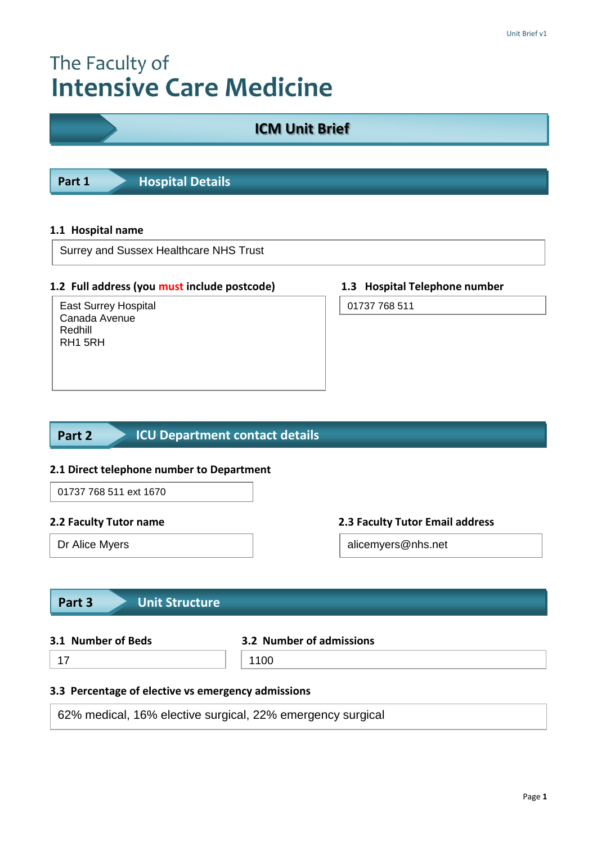# The Faculty of **Intensive Care Medicine**

# **ICM Unit Brief**

**Part 1 Hospital Details** 

#### **1.1 Hospital name**

Surrey and Sussex Healthcare NHS Trust

#### **1.2 Full address (you must include postcode) 1.3 Hospital Telephone number**

East Surrey Hospital Canada Avenue Redhill RH1 5RH

01737 768 511

#### **ICU Department contact details Part 2**

#### **2.1 Direct telephone number to Department**

### 01737 768 511 ext 1670

### **2.2 Faculty Tutor name 2.3 Faculty Tutor Email address**

Dr Alice Myers **alicemyers@nhs.net** 

# **Part 3 Unit Structure**

# **3.1 Number of Beds 3.2 Number of admissions**

# 17 1100

#### **3.3 Percentage of elective vs emergency admissions**

62% medical, 16% elective surgical, 22% emergency surgical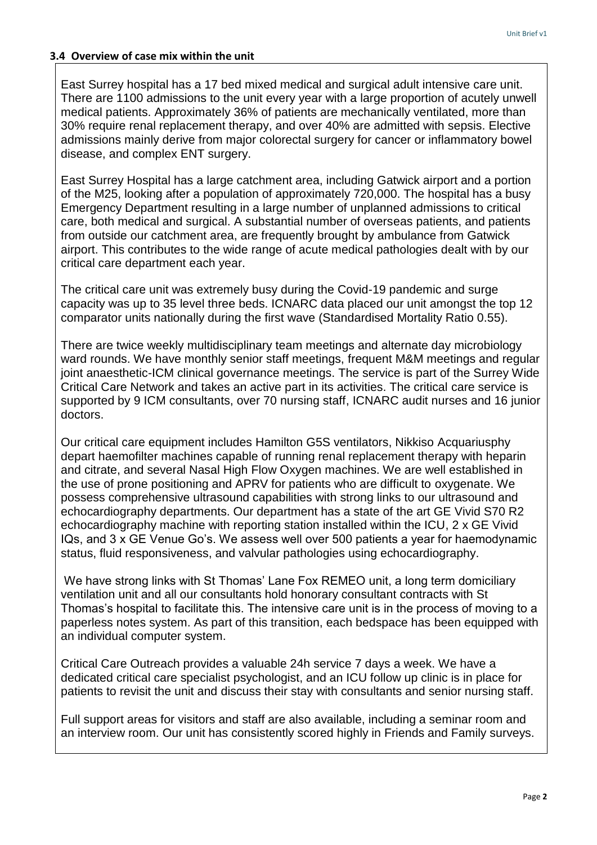#### **3.4 Overview of case mix within the unit**

East Surrey hospital has a 17 bed mixed medical and surgical adult intensive care unit. There are 1100 admissions to the unit every year with a large proportion of acutely unwell medical patients. Approximately 36% of patients are mechanically ventilated, more than 30% require renal replacement therapy, and over 40% are admitted with sepsis. Elective admissions mainly derive from major colorectal surgery for cancer or inflammatory bowel disease, and complex ENT surgery.

East Surrey Hospital has a large catchment area, including Gatwick airport and a portion of the M25, looking after a population of approximately 720,000. The hospital has a busy Emergency Department resulting in a large number of unplanned admissions to critical care, both medical and surgical. A substantial number of overseas patients, and patients from outside our catchment area, are frequently brought by ambulance from Gatwick airport. This contributes to the wide range of acute medical pathologies dealt with by our critical care department each year.

The critical care unit was extremely busy during the Covid-19 pandemic and surge capacity was up to 35 level three beds. ICNARC data placed our unit amongst the top 12 comparator units nationally during the first wave (Standardised Mortality Ratio 0.55).

There are twice weekly multidisciplinary team meetings and alternate day microbiology ward rounds. We have monthly senior staff meetings, frequent M&M meetings and regular joint anaesthetic-ICM clinical governance meetings. The service is part of the Surrey Wide Critical Care Network and takes an active part in its activities. The critical care service is supported by 9 ICM consultants, over 70 nursing staff, ICNARC audit nurses and 16 junior doctors.

Our critical care equipment includes Hamilton G5S ventilators, Nikkiso Acquariusphy depart haemofilter machines capable of running renal replacement therapy with heparin and citrate, and several Nasal High Flow Oxygen machines. We are well established in the use of prone positioning and APRV for patients who are difficult to oxygenate. We possess comprehensive ultrasound capabilities with strong links to our ultrasound and echocardiography departments. Our department has a state of the art GE Vivid S70 R2 echocardiography machine with reporting station installed within the ICU, 2 x GE Vivid IQs, and 3 x GE Venue Go's. We assess well over 500 patients a year for haemodynamic status, fluid responsiveness, and valvular pathologies using echocardiography.

We have strong links with St Thomas' Lane Fox REMEO unit, a long term domiciliary ventilation unit and all our consultants hold honorary consultant contracts with St Thomas's hospital to facilitate this. The intensive care unit is in the process of moving to a paperless notes system. As part of this transition, each bedspace has been equipped with an individual computer system.

Critical Care Outreach provides a valuable 24h service 7 days a week. We have a dedicated critical care specialist psychologist, and an ICU follow up clinic is in place for patients to revisit the unit and discuss their stay with consultants and senior nursing staff.

Full support areas for visitors and staff are also available, including a seminar room and an interview room. Our unit has consistently scored highly in Friends and Family surveys.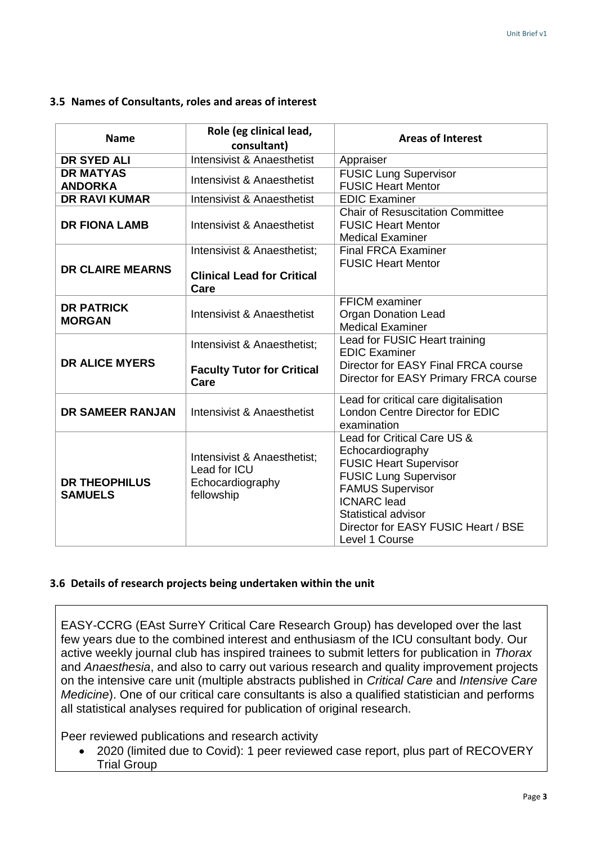#### **3.5 Names of Consultants, roles and areas of interest**

| <b>Name</b>                            | Role (eg clinical lead,<br>consultant)                                        | <b>Areas of Interest</b>                                                                                                                                                                                                                          |
|----------------------------------------|-------------------------------------------------------------------------------|---------------------------------------------------------------------------------------------------------------------------------------------------------------------------------------------------------------------------------------------------|
| <b>DR SYED ALI</b>                     | Intensivist & Anaesthetist                                                    | Appraiser                                                                                                                                                                                                                                         |
| <b>DR MATYAS</b><br><b>ANDORKA</b>     | Intensivist & Anaesthetist                                                    | <b>FUSIC Lung Supervisor</b><br><b>FUSIC Heart Mentor</b>                                                                                                                                                                                         |
| <b>DR RAVI KUMAR</b>                   | <b>Intensivist &amp; Anaesthetist</b>                                         | <b>EDIC Examiner</b>                                                                                                                                                                                                                              |
| <b>DR FIONA LAMB</b>                   | Intensivist & Anaesthetist                                                    | <b>Chair of Resuscitation Committee</b><br><b>FUSIC Heart Mentor</b><br><b>Medical Examiner</b>                                                                                                                                                   |
| <b>DR CLAIRE MEARNS</b>                | Intensivist & Anaesthetist:<br><b>Clinical Lead for Critical</b><br>Care      | <b>Final FRCA Examiner</b><br><b>FUSIC Heart Mentor</b>                                                                                                                                                                                           |
| <b>DR PATRICK</b><br><b>MORGAN</b>     | Intensivist & Anaesthetist                                                    | <b>FFICM</b> examiner<br><b>Organ Donation Lead</b><br><b>Medical Examiner</b>                                                                                                                                                                    |
|                                        | Intensivist & Anaesthetist;                                                   | Lead for FUSIC Heart training<br><b>EDIC Examiner</b>                                                                                                                                                                                             |
| <b>DR ALICE MYERS</b>                  | <b>Faculty Tutor for Critical</b><br>Care                                     | Director for EASY Final FRCA course<br>Director for EASY Primary FRCA course                                                                                                                                                                      |
| DR SAMEER RANJAN                       | Intensivist & Anaesthetist                                                    | Lead for critical care digitalisation<br>London Centre Director for EDIC<br>examination                                                                                                                                                           |
| <b>DR THEOPHILUS</b><br><b>SAMUELS</b> | Intensivist & Anaesthetist;<br>Lead for ICU<br>Echocardiography<br>fellowship | Lead for Critical Care US &<br>Echocardiography<br><b>FUSIC Heart Supervisor</b><br><b>FUSIC Lung Supervisor</b><br><b>FAMUS Supervisor</b><br><b>ICNARC</b> lead<br>Statistical advisor<br>Director for EASY FUSIC Heart / BSE<br>Level 1 Course |

#### **3.6 Details of research projects being undertaken within the unit**

EASY-CCRG (EAst SurreY Critical Care Research Group) has developed over the last few years due to the combined interest and enthusiasm of the ICU consultant body. Our active weekly journal club has inspired trainees to submit letters for publication in *Thorax* and *Anaesthesia*, and also to carry out various research and quality improvement projects on the intensive care unit (multiple abstracts published in *Critical Care* and *Intensive Care Medicine*). One of our critical care consultants is also a qualified statistician and performs all statistical analyses required for publication of original research.

Peer reviewed publications and research activity

 2020 (limited due to Covid): 1 peer reviewed case report, plus part of RECOVERY Trial Group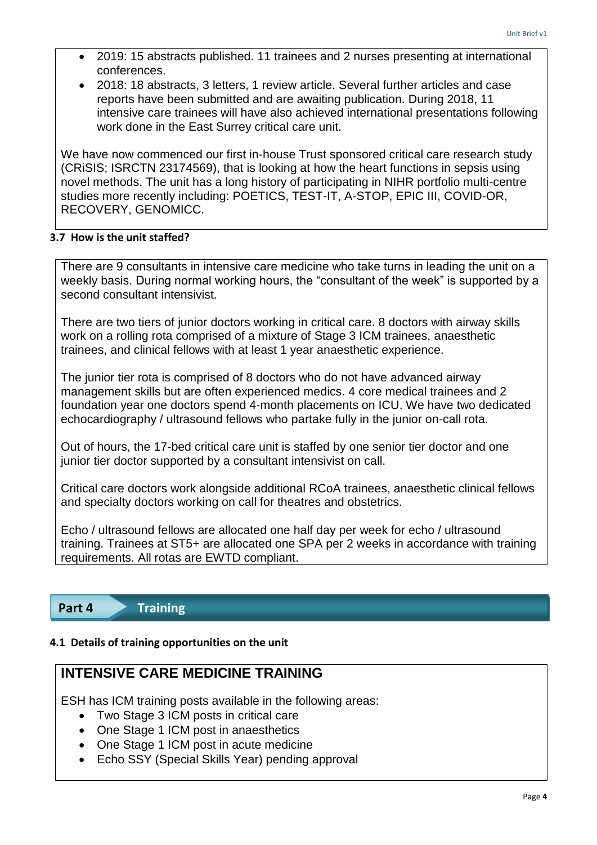- 2019: 15 abstracts published. 11 trainees and 2 nurses presenting at international conferences.
- 2018: 18 abstracts, 3 letters, 1 review article. Several further articles and case reports have been submitted and are awaiting publication. During 2018, 11 intensive care trainees will have also achieved international presentations following work done in the East Surrey critical care unit.

We have now commenced our first in-house Trust sponsored critical care research study (CRiSIS; ISRCTN 23174569), that is looking at how the heart functions in sepsis using novel methods. The unit has a long history of participating in NIHR portfolio multi-centre studies more recently including: POETICS, TEST-IT, A-STOP, EPIC III, COVID-OR, RECOVERY, GENOMICC.

### **3.7 How is the unit staffed?**

There are 9 consultants in intensive care medicine who take turns in leading the unit on a weekly basis. During normal working hours, the "consultant of the week" is supported by a second consultant intensivist.

There are two tiers of junior doctors working in critical care. 8 doctors with airway skills work on a rolling rota comprised of a mixture of Stage 3 ICM trainees, anaesthetic trainees, and clinical fellows with at least 1 year anaesthetic experience.

The junior tier rota is comprised of 8 doctors who do not have advanced airway management skills but are often experienced medics. 4 core medical trainees and 2 foundation year one doctors spend 4-month placements on ICU. We have two dedicated echocardiography / ultrasound fellows who partake fully in the junior on-call rota.

Out of hours, the 17-bed critical care unit is staffed by one senior tier doctor and one junior tier doctor supported by a consultant intensivist on call.

Critical care doctors work alongside additional RCoA trainees, anaesthetic clinical fellows and specialty doctors working on call for theatres and obstetrics.

Echo / ultrasound fellows are allocated one half day per week for echo / ultrasound training. Trainees at ST5+ are allocated one SPA per 2 weeks in accordance with training requirements. All rotas are EWTD compliant.

**Part 4 Training** 

#### **4.1 Details of training opportunities on the unit**

# **INTENSIVE CARE MEDICINE TRAINING**

ESH has ICM training posts available in the following areas:

- Two Stage 3 ICM posts in critical care
- One Stage 1 ICM post in anaesthetics
- One Stage 1 ICM post in acute medicine
- Echo SSY (Special Skills Year) pending approval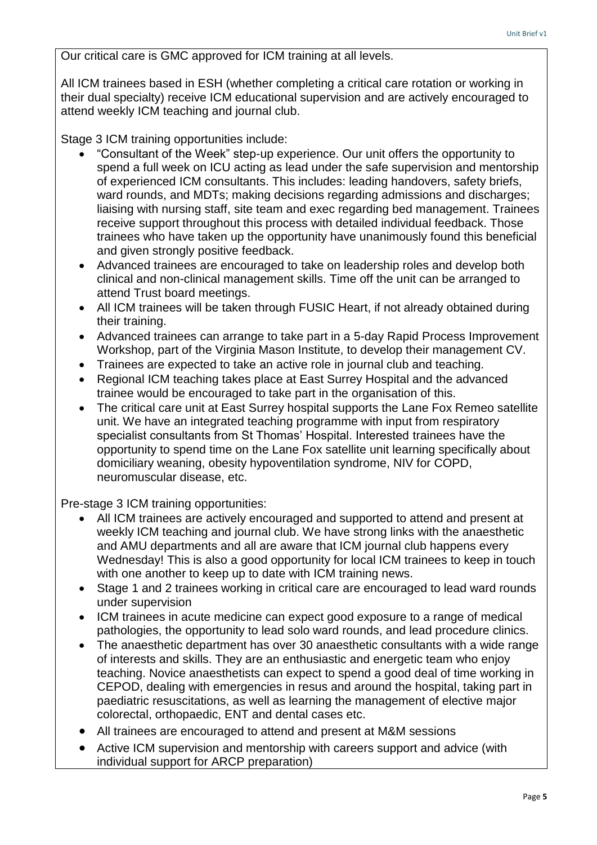Our critical care is GMC approved for ICM training at all levels.

All ICM trainees based in ESH (whether completing a critical care rotation or working in their dual specialty) receive ICM educational supervision and are actively encouraged to attend weekly ICM teaching and journal club.

Stage 3 ICM training opportunities include:

- "Consultant of the Week" step-up experience. Our unit offers the opportunity to spend a full week on ICU acting as lead under the safe supervision and mentorship of experienced ICM consultants. This includes: leading handovers, safety briefs, ward rounds, and MDTs; making decisions regarding admissions and discharges; liaising with nursing staff, site team and exec regarding bed management. Trainees receive support throughout this process with detailed individual feedback. Those trainees who have taken up the opportunity have unanimously found this beneficial and given strongly positive feedback.
- Advanced trainees are encouraged to take on leadership roles and develop both clinical and non-clinical management skills. Time off the unit can be arranged to attend Trust board meetings.
- All ICM trainees will be taken through FUSIC Heart, if not already obtained during their training.
- Advanced trainees can arrange to take part in a 5-day Rapid Process Improvement Workshop, part of the Virginia Mason Institute, to develop their management CV.
- Trainees are expected to take an active role in journal club and teaching.
- Regional ICM teaching takes place at East Surrey Hospital and the advanced trainee would be encouraged to take part in the organisation of this.
- The critical care unit at East Surrey hospital supports the Lane Fox Remeo satellite unit. We have an integrated teaching programme with input from respiratory specialist consultants from St Thomas' Hospital. Interested trainees have the opportunity to spend time on the Lane Fox satellite unit learning specifically about domiciliary weaning, obesity hypoventilation syndrome, NIV for COPD, neuromuscular disease, etc.

Pre-stage 3 ICM training opportunities:

- All ICM trainees are actively encouraged and supported to attend and present at weekly ICM teaching and journal club. We have strong links with the anaesthetic and AMU departments and all are aware that ICM journal club happens every Wednesday! This is also a good opportunity for local ICM trainees to keep in touch with one another to keep up to date with ICM training news.
- Stage 1 and 2 trainees working in critical care are encouraged to lead ward rounds under supervision
- ICM trainees in acute medicine can expect good exposure to a range of medical pathologies, the opportunity to lead solo ward rounds, and lead procedure clinics.
- The anaesthetic department has over 30 anaesthetic consultants with a wide range of interests and skills. They are an enthusiastic and energetic team who enjoy teaching. Novice anaesthetists can expect to spend a good deal of time working in CEPOD, dealing with emergencies in resus and around the hospital, taking part in paediatric resuscitations, as well as learning the management of elective major colorectal, orthopaedic, ENT and dental cases etc.
- All trainees are encouraged to attend and present at M&M sessions
- Active ICM supervision and mentorship with careers support and advice (with individual support for ARCP preparation)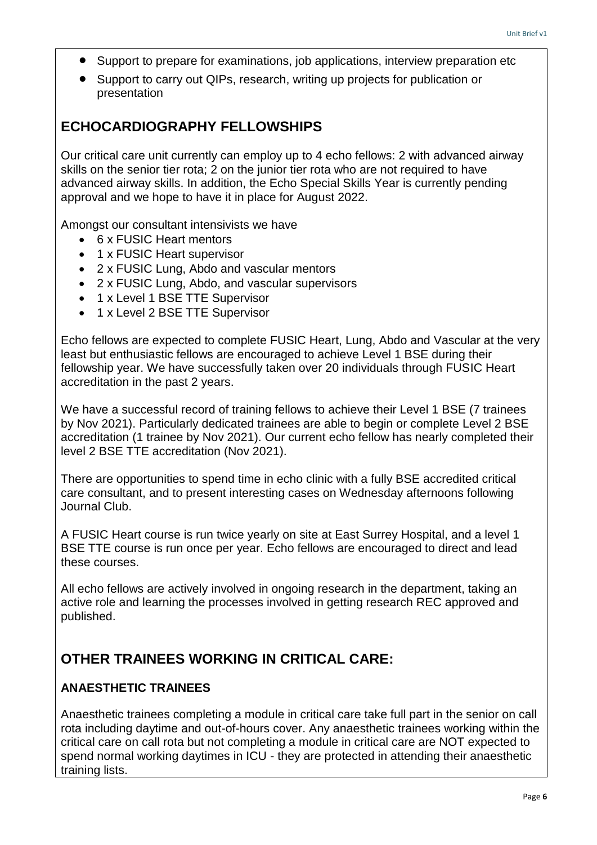- Support to prepare for examinations, job applications, interview preparation etc
- Support to carry out QIPs, research, writing up projects for publication or presentation

# **ECHOCARDIOGRAPHY FELLOWSHIPS**

Our critical care unit currently can employ up to 4 echo fellows: 2 with advanced airway skills on the senior tier rota; 2 on the junior tier rota who are not required to have advanced airway skills. In addition, the Echo Special Skills Year is currently pending approval and we hope to have it in place for August 2022.

Amongst our consultant intensivists we have

- 6 x FUSIC Heart mentors
- 1 x FUSIC Heart supervisor
- 2 x FUSIC Lung, Abdo and vascular mentors
- 2 x FUSIC Lung, Abdo, and vascular supervisors
- 1 x Level 1 BSE TTE Supervisor
- 1 x Level 2 BSE TTE Supervisor

Echo fellows are expected to complete FUSIC Heart, Lung, Abdo and Vascular at the very least but enthusiastic fellows are encouraged to achieve Level 1 BSE during their fellowship year. We have successfully taken over 20 individuals through FUSIC Heart accreditation in the past 2 years.

We have a successful record of training fellows to achieve their Level 1 BSE (7 trainees by Nov 2021). Particularly dedicated trainees are able to begin or complete Level 2 BSE accreditation (1 trainee by Nov 2021). Our current echo fellow has nearly completed their level 2 BSE TTE accreditation (Nov 2021).

There are opportunities to spend time in echo clinic with a fully BSE accredited critical care consultant, and to present interesting cases on Wednesday afternoons following Journal Club.

A FUSIC Heart course is run twice yearly on site at East Surrey Hospital, and a level 1 BSE TTE course is run once per year. Echo fellows are encouraged to direct and lead these courses.

All echo fellows are actively involved in ongoing research in the department, taking an active role and learning the processes involved in getting research REC approved and published.

# **OTHER TRAINEES WORKING IN CRITICAL CARE:**

#### **ANAESTHETIC TRAINEES**

Anaesthetic trainees completing a module in critical care take full part in the senior on call rota including daytime and out-of-hours cover. Any anaesthetic trainees working within the critical care on call rota but not completing a module in critical care are NOT expected to spend normal working daytimes in ICU - they are protected in attending their anaesthetic training lists.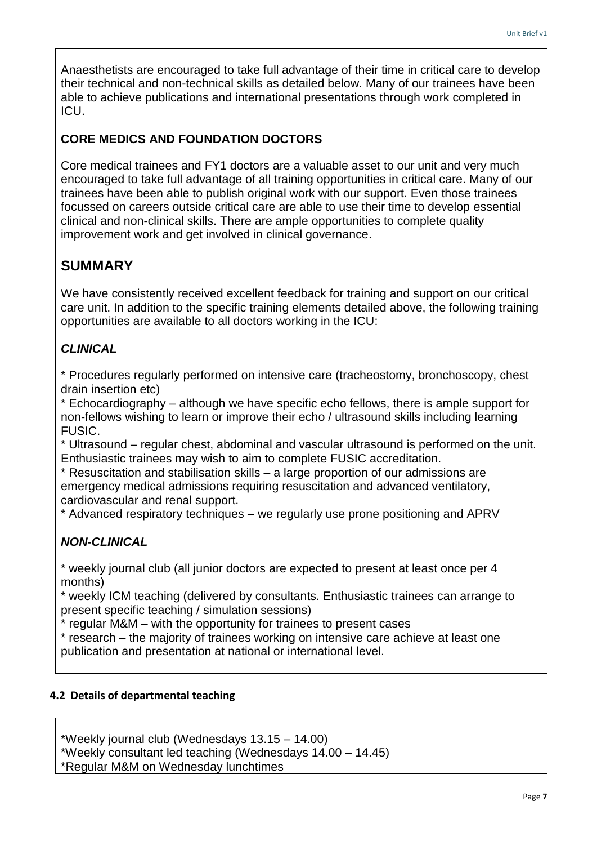Anaesthetists are encouraged to take full advantage of their time in critical care to develop their technical and non-technical skills as detailed below. Many of our trainees have been able to achieve publications and international presentations through work completed in ICU.

### **CORE MEDICS AND FOUNDATION DOCTORS**

Core medical trainees and FY1 doctors are a valuable asset to our unit and very much encouraged to take full advantage of all training opportunities in critical care. Many of our trainees have been able to publish original work with our support. Even those trainees focussed on careers outside critical care are able to use their time to develop essential clinical and non-clinical skills. There are ample opportunities to complete quality improvement work and get involved in clinical governance.

# **SUMMARY**

We have consistently received excellent feedback for training and support on our critical care unit. In addition to the specific training elements detailed above, the following training opportunities are available to all doctors working in the ICU:

### *CLINICAL*

\* Procedures regularly performed on intensive care (tracheostomy, bronchoscopy, chest drain insertion etc)

\* Echocardiography – although we have specific echo fellows, there is ample support for non-fellows wishing to learn or improve their echo / ultrasound skills including learning FUSIC.

\* Ultrasound – regular chest, abdominal and vascular ultrasound is performed on the unit. Enthusiastic trainees may wish to aim to complete FUSIC accreditation.

\* Resuscitation and stabilisation skills – a large proportion of our admissions are emergency medical admissions requiring resuscitation and advanced ventilatory, cardiovascular and renal support.

\* Advanced respiratory techniques – we regularly use prone positioning and APRV

# *NON-CLINICAL*

\* weekly journal club (all junior doctors are expected to present at least once per 4 months)

\* weekly ICM teaching (delivered by consultants. Enthusiastic trainees can arrange to present specific teaching / simulation sessions)

\* regular M&M – with the opportunity for trainees to present cases

\* research – the majority of trainees working on intensive care achieve at least one publication and presentation at national or international level.

#### **4.2 Details of departmental teaching**

\*Weekly journal club (Wednesdays 13.15 – 14.00) \*Weekly consultant led teaching (Wednesdays 14.00 – 14.45)

\*Regular M&M on Wednesday lunchtimes